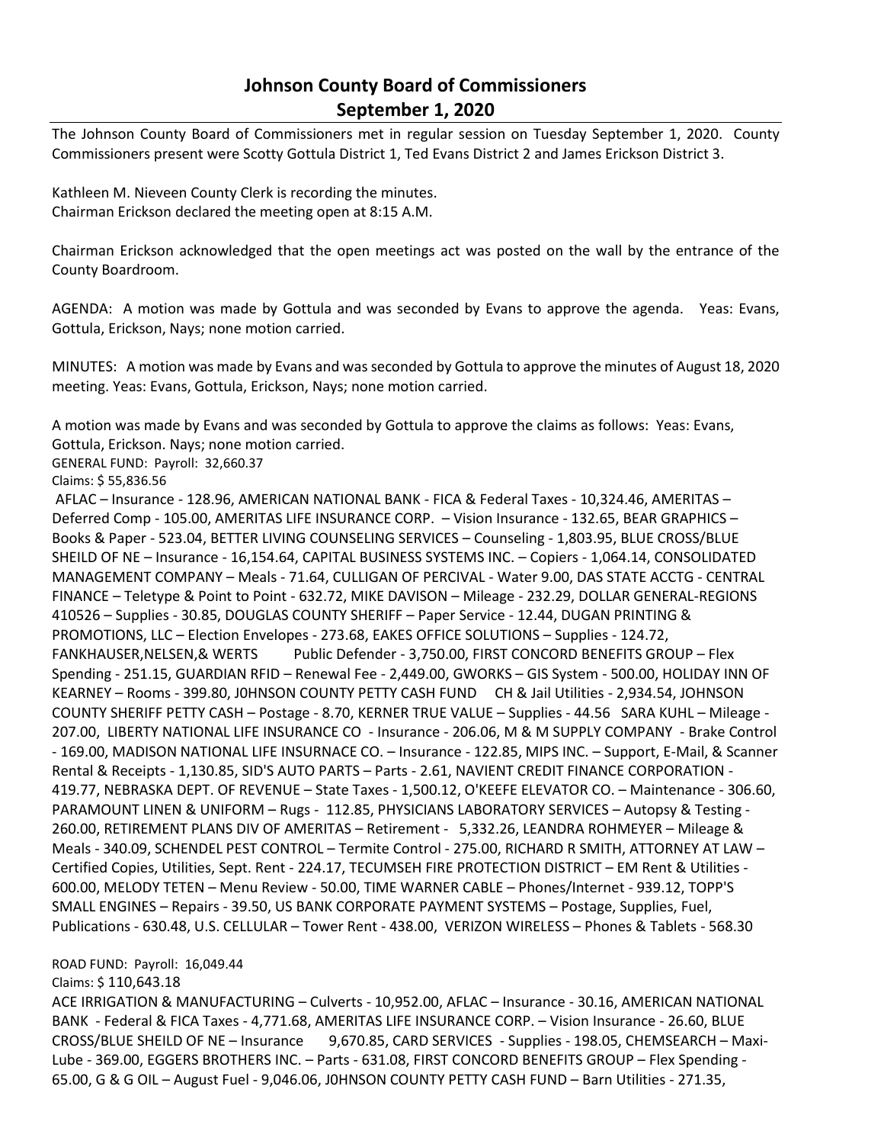## **Johnson County Board of Commissioners September 1, 2020**

The Johnson County Board of Commissioners met in regular session on Tuesday September 1, 2020. County Commissioners present were Scotty Gottula District 1, Ted Evans District 2 and James Erickson District 3.

Kathleen M. Nieveen County Clerk is recording the minutes. Chairman Erickson declared the meeting open at 8:15 A.M.

Chairman Erickson acknowledged that the open meetings act was posted on the wall by the entrance of the County Boardroom.

AGENDA: A motion was made by Gottula and was seconded by Evans to approve the agenda. Yeas: Evans, Gottula, Erickson, Nays; none motion carried.

MINUTES: A motion was made by Evans and was seconded by Gottula to approve the minutes of August 18, 2020 meeting. Yeas: Evans, Gottula, Erickson, Nays; none motion carried.

A motion was made by Evans and was seconded by Gottula to approve the claims as follows: Yeas: Evans, Gottula, Erickson. Nays; none motion carried.

GENERAL FUND: Payroll: 32,660.37

Claims: \$ 55,836.56

AFLAC – Insurance - 128.96, AMERICAN NATIONAL BANK - FICA & Federal Taxes - 10,324.46, AMERITAS – Deferred Comp - 105.00, AMERITAS LIFE INSURANCE CORP. - Vision Insurance - 132.65, BEAR GRAPHICS -Books & Paper - 523.04, BETTER LIVING COUNSELING SERVICES – Counseling - 1,803.95, BLUE CROSS/BLUE SHEILD OF NE – Insurance - 16,154.64, CAPITAL BUSINESS SYSTEMS INC. – Copiers - 1,064.14, CONSOLIDATED MANAGEMENT COMPANY – Meals - 71.64, CULLIGAN OF PERCIVAL - Water 9.00, DAS STATE ACCTG - CENTRAL FINANCE – Teletype & Point to Point - 632.72, MIKE DAVISON – Mileage - 232.29, DOLLAR GENERAL-REGIONS 410526 – Supplies - 30.85, DOUGLAS COUNTY SHERIFF – Paper Service - 12.44, DUGAN PRINTING & PROMOTIONS, LLC – Election Envelopes - 273.68, EAKES OFFICE SOLUTIONS – Supplies - 124.72, FANKHAUSER,NELSEN,& WERTS Public Defender - 3,750.00, FIRST CONCORD BENEFITS GROUP – Flex Spending - 251.15, GUARDIAN RFID – Renewal Fee - 2,449.00, GWORKS – GIS System - 500.00, HOLIDAY INN OF KEARNEY – Rooms - 399.80, J0HNSON COUNTY PETTY CASH FUND CH & Jail Utilities - 2,934.54, JOHNSON COUNTY SHERIFF PETTY CASH – Postage - 8.70, KERNER TRUE VALUE – Supplies - 44.56 SARA KUHL – Mileage - 207.00, LIBERTY NATIONAL LIFE INSURANCE CO - Insurance - 206.06, M & M SUPPLY COMPANY - Brake Control - 169.00, MADISON NATIONAL LIFE INSURNACE CO. – Insurance - 122.85, MIPS INC. – Support, E-Mail, & Scanner Rental & Receipts - 1,130.85, SID'S AUTO PARTS – Parts - 2.61, NAVIENT CREDIT FINANCE CORPORATION - 419.77, NEBRASKA DEPT. OF REVENUE – State Taxes - 1,500.12, O'KEEFE ELEVATOR CO. – Maintenance - 306.60, PARAMOUNT LINEN & UNIFORM – Rugs - 112.85, PHYSICIANS LABORATORY SERVICES – Autopsy & Testing - 260.00, RETIREMENT PLANS DIV OF AMERITAS – Retirement - 5,332.26, LEANDRA ROHMEYER – Mileage & Meals - 340.09, SCHENDEL PEST CONTROL – Termite Control - 275.00, RICHARD R SMITH, ATTORNEY AT LAW – Certified Copies, Utilities, Sept. Rent - 224.17, TECUMSEH FIRE PROTECTION DISTRICT – EM Rent & Utilities - 600.00, MELODY TETEN – Menu Review - 50.00, TIME WARNER CABLE – Phones/Internet - 939.12, TOPP'S SMALL ENGINES – Repairs - 39.50, US BANK CORPORATE PAYMENT SYSTEMS – Postage, Supplies, Fuel, Publications - 630.48, U.S. CELLULAR – Tower Rent - 438.00, VERIZON WIRELESS – Phones & Tablets - 568.30

## ROAD FUND: Payroll: 16,049.44

## Claims: \$ 110,643.18

ACE IRRIGATION & MANUFACTURING – Culverts - 10,952.00, AFLAC – Insurance - 30.16, AMERICAN NATIONAL BANK - Federal & FICA Taxes - 4,771.68, AMERITAS LIFE INSURANCE CORP. – Vision Insurance - 26.60, BLUE CROSS/BLUE SHEILD OF NE – Insurance 9,670.85, CARD SERVICES - Supplies - 198.05, CHEMSEARCH – Maxi-Lube - 369.00, EGGERS BROTHERS INC. – Parts - 631.08, FIRST CONCORD BENEFITS GROUP – Flex Spending - 65.00, G & G OIL – August Fuel - 9,046.06, J0HNSON COUNTY PETTY CASH FUND – Barn Utilities - 271.35,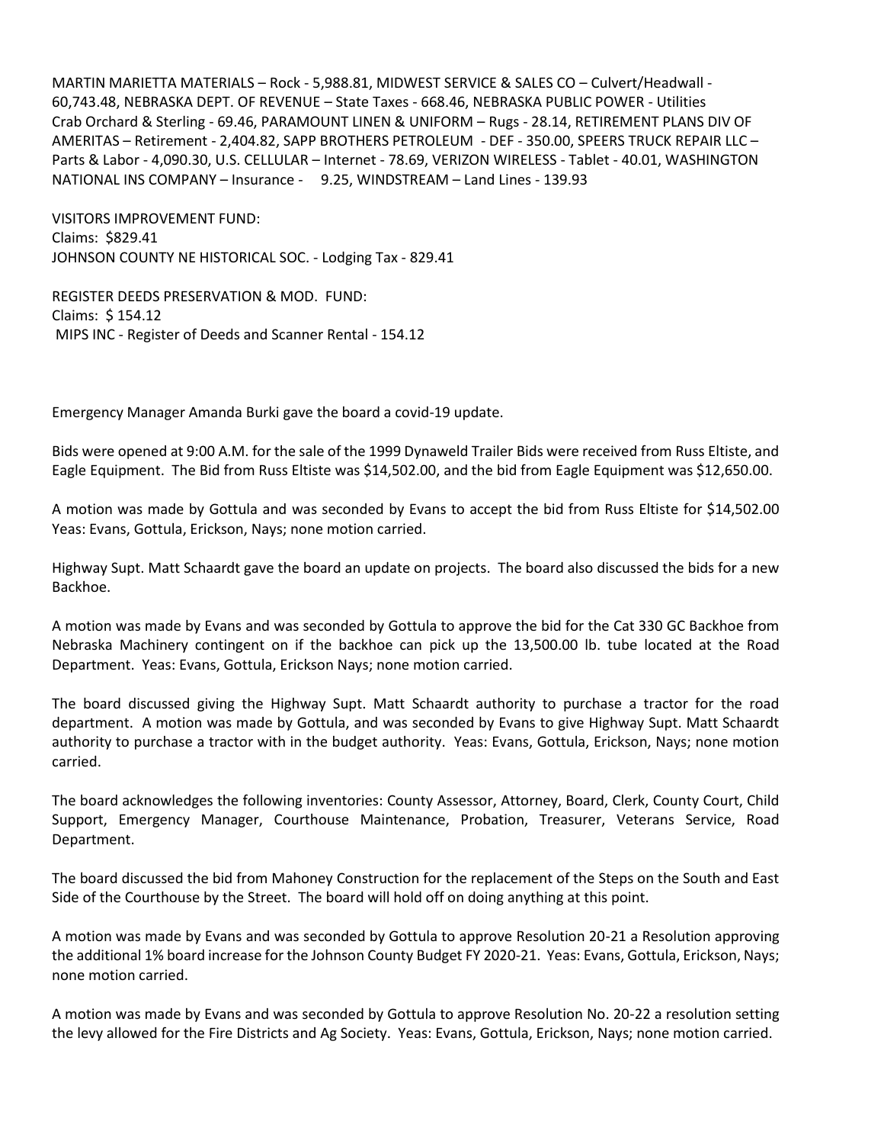MARTIN MARIETTA MATERIALS – Rock - 5,988.81, MIDWEST SERVICE & SALES CO – Culvert/Headwall - 60,743.48, NEBRASKA DEPT. OF REVENUE – State Taxes - 668.46, NEBRASKA PUBLIC POWER - Utilities Crab Orchard & Sterling - 69.46, PARAMOUNT LINEN & UNIFORM – Rugs - 28.14, RETIREMENT PLANS DIV OF AMERITAS – Retirement - 2,404.82, SAPP BROTHERS PETROLEUM - DEF - 350.00, SPEERS TRUCK REPAIR LLC – Parts & Labor - 4,090.30, U.S. CELLULAR – Internet - 78.69, VERIZON WIRELESS - Tablet - 40.01, WASHINGTON NATIONAL INS COMPANY – Insurance - 9.25, WINDSTREAM – Land Lines - 139.93

VISITORS IMPROVEMENT FUND: Claims: \$829.41 JOHNSON COUNTY NE HISTORICAL SOC. - Lodging Tax - 829.41

REGISTER DEEDS PRESERVATION & MOD. FUND: Claims: \$ 154.12 MIPS INC - Register of Deeds and Scanner Rental - 154.12

Emergency Manager Amanda Burki gave the board a covid-19 update.

Bids were opened at 9:00 A.M. for the sale of the 1999 Dynaweld Trailer Bids were received from Russ Eltiste, and Eagle Equipment. The Bid from Russ Eltiste was \$14,502.00, and the bid from Eagle Equipment was \$12,650.00.

A motion was made by Gottula and was seconded by Evans to accept the bid from Russ Eltiste for \$14,502.00 Yeas: Evans, Gottula, Erickson, Nays; none motion carried.

Highway Supt. Matt Schaardt gave the board an update on projects. The board also discussed the bids for a new Backhoe.

A motion was made by Evans and was seconded by Gottula to approve the bid for the Cat 330 GC Backhoe from Nebraska Machinery contingent on if the backhoe can pick up the 13,500.00 lb. tube located at the Road Department. Yeas: Evans, Gottula, Erickson Nays; none motion carried.

The board discussed giving the Highway Supt. Matt Schaardt authority to purchase a tractor for the road department. A motion was made by Gottula, and was seconded by Evans to give Highway Supt. Matt Schaardt authority to purchase a tractor with in the budget authority. Yeas: Evans, Gottula, Erickson, Nays; none motion carried.

The board acknowledges the following inventories: County Assessor, Attorney, Board, Clerk, County Court, Child Support, Emergency Manager, Courthouse Maintenance, Probation, Treasurer, Veterans Service, Road Department.

The board discussed the bid from Mahoney Construction for the replacement of the Steps on the South and East Side of the Courthouse by the Street. The board will hold off on doing anything at this point.

A motion was made by Evans and was seconded by Gottula to approve Resolution 20-21 a Resolution approving the additional 1% board increase for the Johnson County Budget FY 2020-21. Yeas: Evans, Gottula, Erickson, Nays; none motion carried.

A motion was made by Evans and was seconded by Gottula to approve Resolution No. 20-22 a resolution setting the levy allowed for the Fire Districts and Ag Society. Yeas: Evans, Gottula, Erickson, Nays; none motion carried.